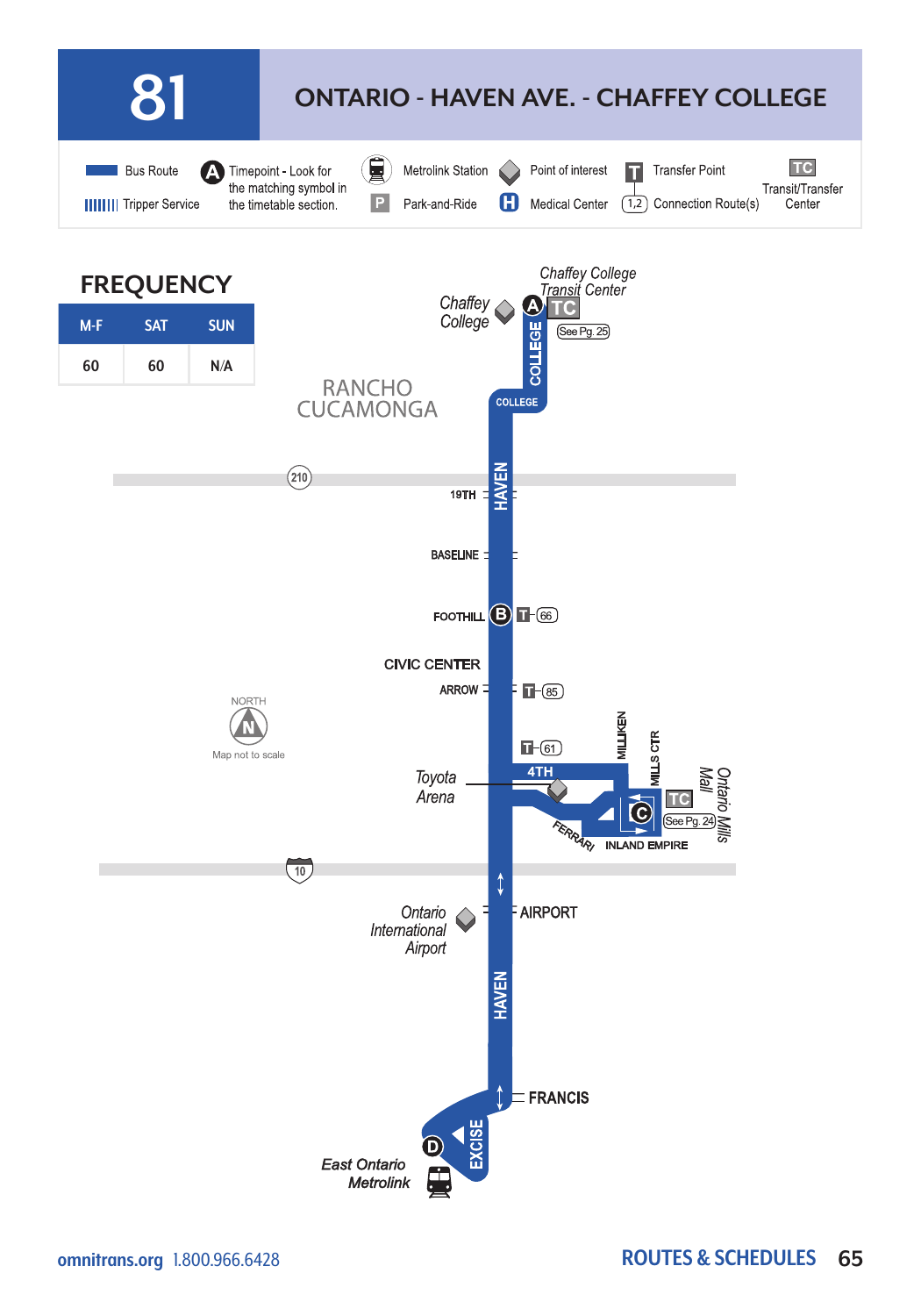